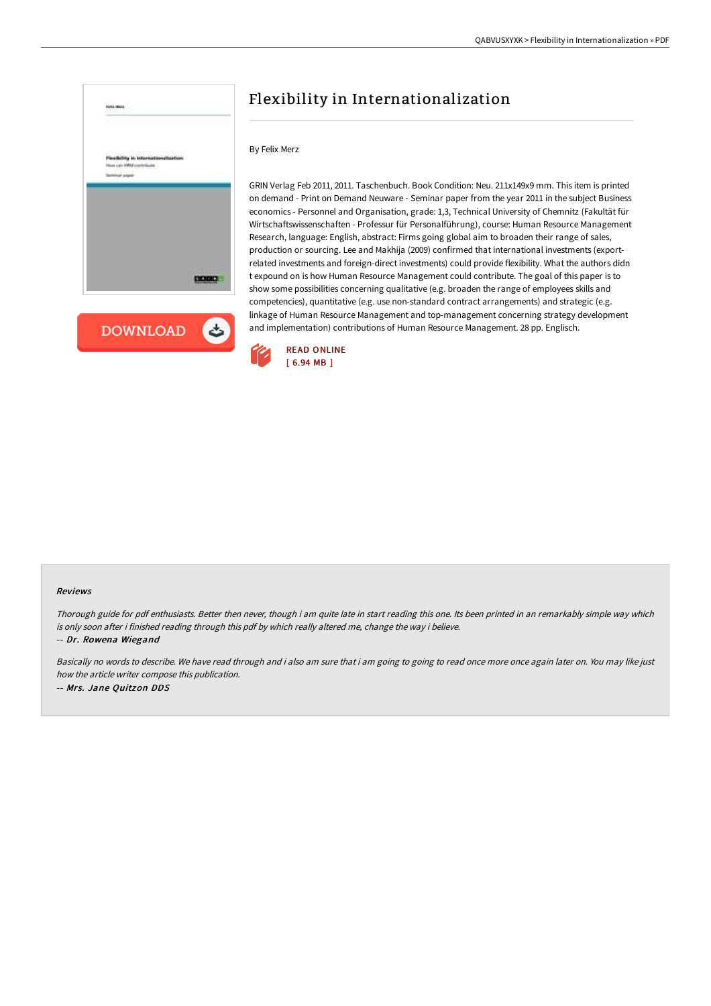



## Flexibility in Internationalization

## By Felix Merz

GRIN Verlag Feb 2011, 2011. Taschenbuch. Book Condition: Neu. 211x149x9 mm. This item is printed on demand - Print on Demand Neuware - Seminar paper from the year 2011 in the subject Business economics - Personnel and Organisation, grade: 1,3, Technical University of Chemnitz (Fakultät für Wirtschaftswissenschaften - Professur für Personalführung), course: Human Resource Management Research, language: English, abstract: Firms going global aim to broaden their range of sales, production or sourcing. Lee and Makhija (2009) confirmed that international investments (exportrelated investments and foreign-direct investments) could provide flexibility. What the authors didn t expound on is how Human Resource Management could contribute. The goal of this paper is to show some possibilities concerning qualitative (e.g. broaden the range of employees skills and competencies), quantitative (e.g. use non-standard contract arrangements) and strategic (e.g. linkage of Human Resource Management and top-management concerning strategy development and implementation) contributions of Human Resource Management. 28 pp. Englisch.



## Reviews

Thorough guide for pdf enthusiasts. Better then never, though i am quite late in start reading this one. Its been printed in an remarkably simple way which is only soon after i finished reading through this pdf by which really altered me, change the way i believe.

-- Dr. Rowena Wiegand

Basically no words to describe. We have read through and i also am sure that i am going to going to read once more once again later on. You may like just how the article writer compose this publication. -- Mrs. Jane Quitzon DDS